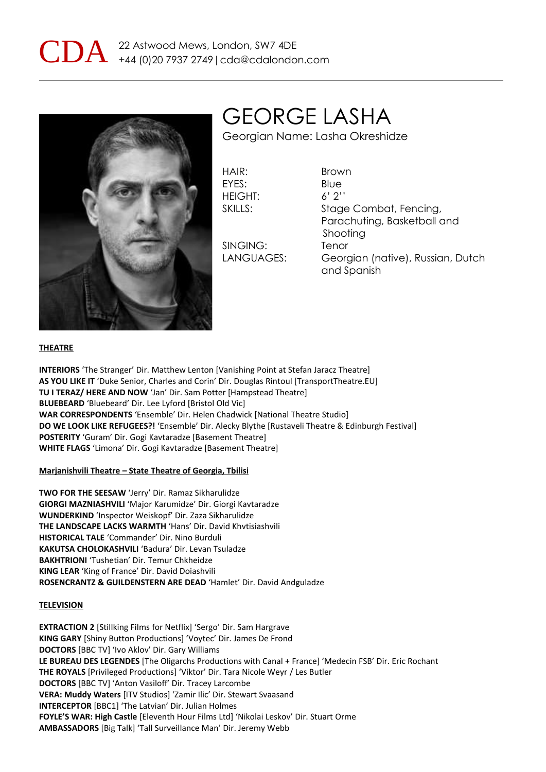



GEORGE LASHA

Georgian Name: Lasha Okreshidze

HAIR: Brown EYES: Blue HEIGHT: 6' 2''

SINGING: Tenor

SKILLS: Stage Combat, Fencing, Parachuting, Basketball and Shooting LANGUAGES: Georgian (native), Russian, Dutch and Spanish

### **THEATRE**

**INTERIORS** 'The Stranger' Dir. Matthew Lenton [Vanishing Point at Stefan Jaracz Theatre] **AS YOU LIKE IT** 'Duke Senior, Charles and Corin' Dir. Douglas Rintoul [TransportTheatre.EU] **TU I TERAZ/ HERE AND NOW** 'Jan' Dir. Sam Potter [Hampstead Theatre] **BLUEBEARD** 'Bluebeard' Dir. Lee Lyford [Bristol Old Vic] **WAR CORRESPONDENTS** 'Ensemble' Dir. Helen Chadwick [National Theatre Studio] **DO WE LOOK LIKE REFUGEES?!** 'Ensemble' Dir. Alecky Blythe [Rustaveli Theatre & Edinburgh Festival] **POSTERITY** 'Guram' Dir. Gogi Kavtaradze [Basement Theatre] **WHITE FLAGS** 'Limona' Dir. Gogi Kavtaradze [Basement Theatre]

#### **Marjanishvili Theatre – State Theatre of Georgia, Tbilisi**

**TWO FOR THE SEESAW** 'Jerry' Dir. Ramaz Sikharulidze **GIORGI MAZNIASHVILI** 'Major Karumidze' Dir. Giorgi Kavtaradze **WUNDERKIND** 'Inspector Weiskopf' Dir. Zaza Sikharulidze **THE LANDSCAPE LACKS WARMTH** 'Hans' Dir. David Khvtisiashvili **HISTORICAL TALE** 'Commander' Dir. Nino Burduli **KAKUTSA CHOLOKASHVILI** 'Badura' Dir. Levan Tsuladze **BAKHTRIONI** 'Tushetian' Dir. Temur Chkheidze **KING LEAR** 'King of France' Dir. David Doiashvili **ROSENCRANTZ & GUILDENSTERN ARE DEAD** 'Hamlet' Dir. David Andguladze

### **TELEVISION**

**EXTRACTION 2** [Stillking Films for Netflix] 'Sergo' Dir. Sam Hargrave **KING GARY** [Shiny Button Productions] 'Voytec' Dir. James De Frond **DOCTORS** [BBC TV] 'Ivo Aklov' Dir. Gary Williams **LE BUREAU DES LEGENDES** [The Oligarchs Productions with Canal + France] 'Medecin FSB' Dir. Eric Rochant **THE ROYALS** [Privileged Productions] 'Viktor' Dir. Tara Nicole Weyr / Les Butler **DOCTORS** [BBC TV] 'Anton Vasiloff' Dir. Tracey Larcombe **VERA: Muddy Waters** [ITV Studios] 'Zamir Ilic' Dir. Stewart Svaasand **INTERCEPTOR** [BBC1] 'The Latvian' Dir. Julian Holmes **FOYLE'S WAR: High Castle** [Eleventh Hour Films Ltd] 'Nikolai Leskov' Dir. Stuart Orme **AMBASSADORS** [Big Talk] 'Tall Surveillance Man' Dir. Jeremy Webb